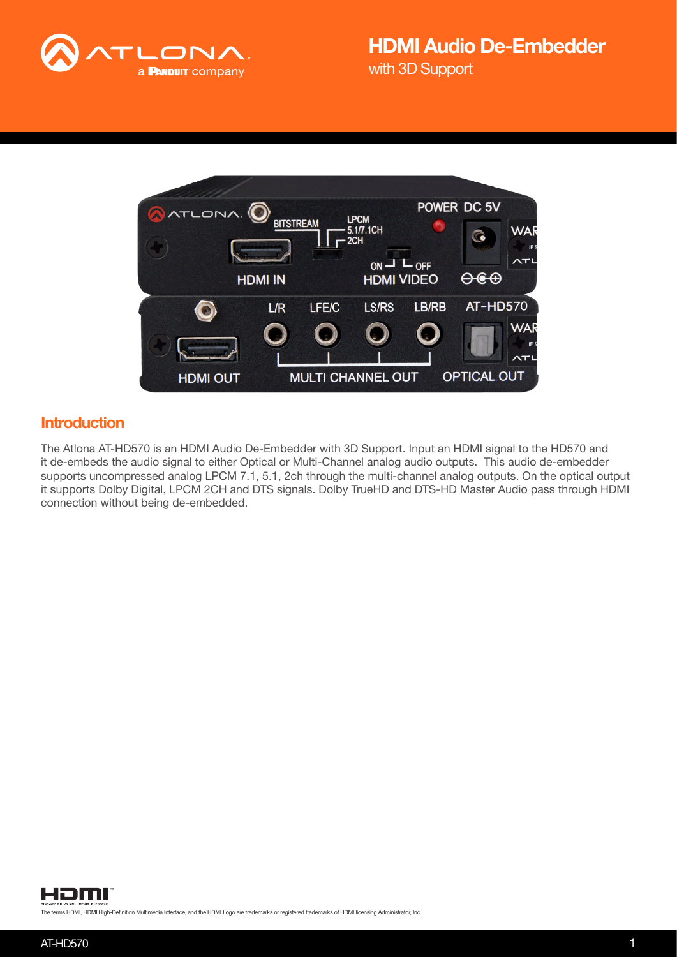



## **Introduction**

The Atlona AT-HD570 is an HDMI Audio De-Embedder with 3D Support. Input an HDMI signal to the HD570 and it de-embeds the audio signal to either Optical or Multi-Channel analog audio outputs. This audio de-embedder supports uncompressed analog LPCM 7.1, 5.1, 2ch through the multi-channel analog outputs. On the optical output it supports Dolby Digital, LPCM 2CH and DTS signals. Dolby TrueHD and DTS-HD Master Audio pass through HDMI connection without being de-embedded.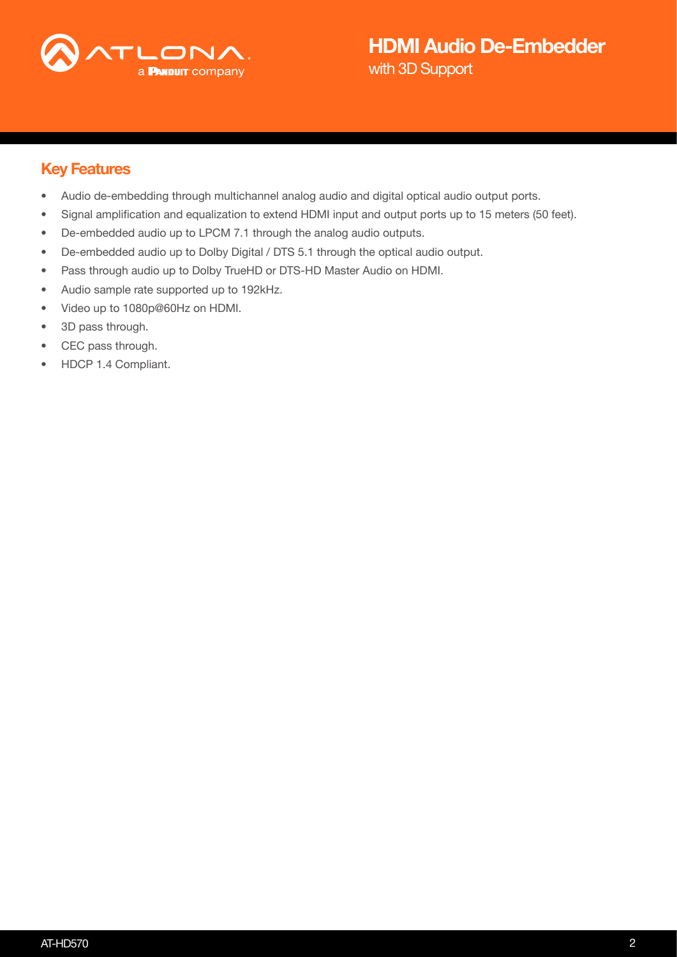

## Key Features

- Audio de-embedding through multichannel analog audio and digital optical audio output ports.
- Signal amplification and equalization to extend HDMI input and output ports up to 15 meters (50 feet).
- De-embedded audio up to LPCM 7.1 through the analog audio outputs.
- De-embedded audio up to Dolby Digital / DTS 5.1 through the optical audio output.
- Pass through audio up to Dolby TrueHD or DTS-HD Master Audio on HDMI.
- Audio sample rate supported up to 192kHz.
- Video up to 1080p@60Hz on HDMI.
- 3D pass through.
- CEC pass through.
- HDCP 1.4 Compliant.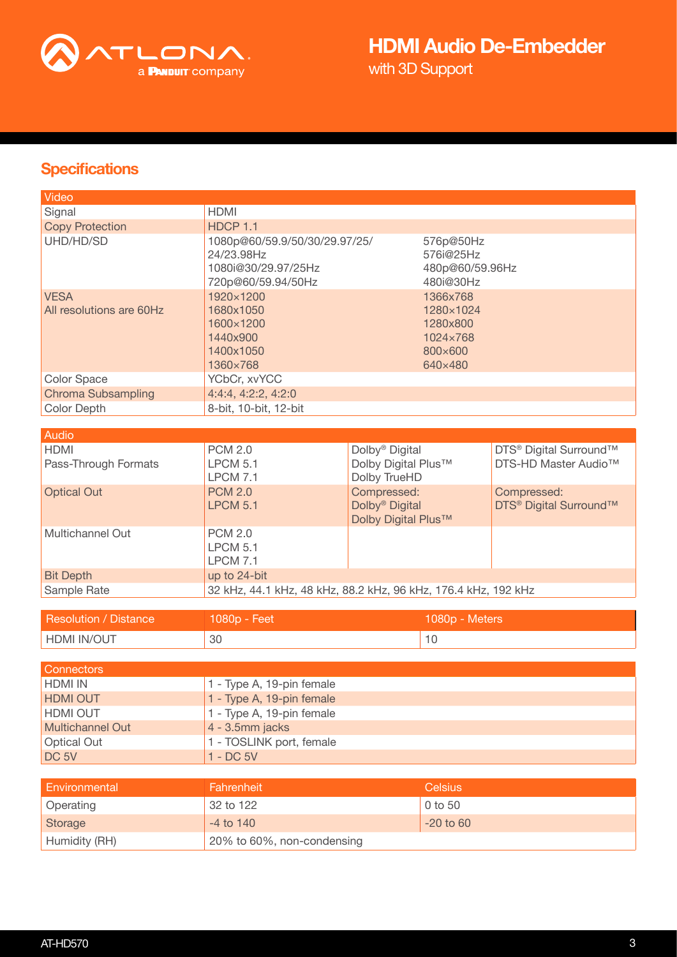

## **Specifications**

| Video                               |                                                                |                            |                                    |
|-------------------------------------|----------------------------------------------------------------|----------------------------|------------------------------------|
| Signal                              | <b>HDMI</b>                                                    |                            |                                    |
| <b>Copy Protection</b>              | HDCP 1.1                                                       |                            |                                    |
| UHD/HD/SD                           | 1080p@60/59.9/50/30/29.97/25/<br>576p@50Hz                     |                            |                                    |
|                                     | 24/23.98Hz                                                     | 576i@25Hz                  |                                    |
|                                     | 1080i@30/29.97/25Hz                                            | 480p@60/59.96Hz            |                                    |
|                                     | 720p@60/59.94/50Hz                                             | 480i@30Hz                  |                                    |
| <b>VESA</b>                         | 1920×1200                                                      | 1366x768                   |                                    |
| All resolutions are 60Hz            | 1680x1050                                                      | 1280×1024                  |                                    |
|                                     | 1600×1200                                                      | 1280x800                   |                                    |
|                                     | 1440×900<br>1400x1050                                          | 1024×768<br>800×600        |                                    |
|                                     | 1360×768                                                       | 640×480                    |                                    |
| Color Space                         | YCbCr, xvYCC                                                   |                            |                                    |
| <b>Chroma Subsampling</b>           | 4:4:4, 4:2:2, 4:2:0                                            |                            |                                    |
| <b>Color Depth</b>                  | 8-bit, 10-bit, 12-bit                                          |                            |                                    |
|                                     |                                                                |                            |                                    |
| <b>Audio</b>                        |                                                                |                            |                                    |
| <b>HDMI</b>                         | <b>PCM 2.0</b>                                                 | Dolby <sup>®</sup> Digital | DTS <sup>®</sup> Digital Surround™ |
| Pass-Through Formats                | <b>LPCM 5.1</b>                                                | Dolby Digital Plus™        | DTS-HD Master Audio <sup>™</sup>   |
|                                     | <b>LPCM 7.1</b>                                                | Dolby TrueHD               |                                    |
| <b>Optical Out</b>                  | <b>PCM 2.0</b>                                                 | Compressed:                | Compressed:                        |
|                                     | <b>LPCM 5.1</b>                                                | Dolby <sup>®</sup> Digital | DTS <sup>®</sup> Digital Surround™ |
|                                     |                                                                | Dolby Digital Plus™        |                                    |
| Multichannel Out                    | <b>PCM 2.0</b>                                                 |                            |                                    |
|                                     | <b>LPCM 5.1</b>                                                |                            |                                    |
|                                     | <b>LPCM 7.1</b>                                                |                            |                                    |
| <b>Bit Depth</b>                    | up to 24-bit                                                   |                            |                                    |
| Sample Rate                         | 32 kHz, 44.1 kHz, 48 kHz, 88.2 kHz, 96 kHz, 176.4 kHz, 192 kHz |                            |                                    |
| <b>Resolution / Distance</b>        | 1080p - Feet                                                   | 1080p - Meters             |                                    |
|                                     |                                                                |                            |                                    |
| HDMI IN/OUT                         | 30                                                             | 10                         |                                    |
|                                     |                                                                |                            |                                    |
| <b>Connectors</b><br><b>HDMI IN</b> |                                                                |                            |                                    |
|                                     | 1 - Type A, 19-pin female                                      |                            |                                    |
| <b>HDMI OUT</b><br>HDMI OUT         | 1 - Type A, 19-pin female                                      |                            |                                    |
| <b>Multichannel Out</b>             | 1 - Type A, 19-pin female                                      |                            |                                    |
|                                     | 4 - 3.5mm jacks                                                |                            |                                    |
| <b>Optical Out</b>                  | 1 - TOSLINK port, female                                       |                            |                                    |
| DC <sub>5V</sub>                    | $1 - DC$ 5V                                                    |                            |                                    |
| Environmental                       | Fahrenheit                                                     | <b>Celsius</b>             |                                    |
|                                     |                                                                |                            |                                    |
| Operating                           | 32 to 122                                                      | 0 to 50                    |                                    |
| <b>Storage</b>                      | $-4$ to $140$<br>$-20$ to $60$                                 |                            |                                    |
| Humidity (RH)                       | 20% to 60%, non-condensing                                     |                            |                                    |